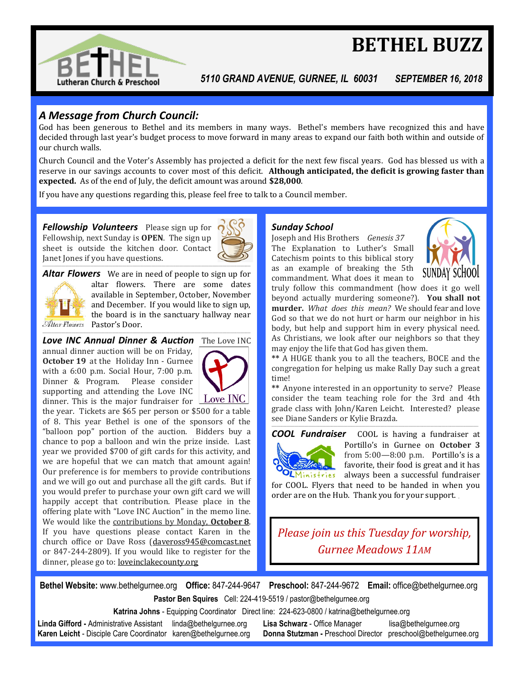

# **BETHEL BUZZ**

*5110 GRAND AVENUE, GURNEE, IL 60031 SEPTEMBER 16, 2018*

#### *A Message from Church Council:*

God has been generous to Bethel and its members in many ways. Bethel's members have recognized this and have decided through last year's budget process to move forward in many areas to expand our faith both within and outside of our church walls.

Church Council and the Voter's Assembly has projected a deficit for the next few fiscal years. God has blessed us with a reserve in our savings accounts to cover most of this deficit. **Although anticipated, the deficit is growing faster than expected.** As of the end of July, the deficit amount was around **\$28,000**.

If you have any questions regarding this, please feel free to talk to a Council member.

*Fellowship Volunteers* Please sign up for Fellowship, next Sunday is **OPEN**. The sign up sheet is outside the kitchen door. Contact Janet Jones if you have questions.



Altar Flowers

*Altar Flowers* We are in need of people to sign up for altar flowers. There are some dates available in September, October, November and December. If you would like to sign up, the board is in the sanctuary hallway near Pastor's Door. \_\_\_\_\_\_\_\_\_\_\_\_\_\_\_\_\_\_\_\_\_\_\_\_\_\_\_\_\_\_\_\_\_\_\_\_\_\_\_\_\_\_\_\_\_\_\_\_\_\_\_\_\_\_\_\_\_\_\_\_\_\_\_\_\_\_\_\_\_\_\_\_\_\_\_\_\_\_\_\_\_\_\_\_\_\_\_\_\_\_\_\_\_\_\_\_\_\_\_\_\_\_\_\_\_\_\_\_\_\_\_\_\_\_\_\_\_\_\_\_\_\_\_\_\_\_\_\_\_\_\_\_\_\_\_\_\_\_\_\_\_\_\_\_\_\_\_\_\_\_\_\_\_\_\_\_\_\_\_\_\_\_\_\_

**Love INC Annual Dinner & Auction** The Love INC annual dinner auction will be on Friday, **October 19** at the Holiday Inn - Gurnee with a 6:00 p.m. Social Hour, 7:00 p.m. Dinner & Program. Please consider supporting and attending the Love INC



dinner. This is the major fundraiser for  $\angle$  Love INC the year. Tickets are \$65 per person or \$500 for a table of 8. This year Bethel is one of the sponsors of the "balloon pop" portion of the auction. Bidders buy a chance to pop a balloon and win the prize inside. Last year we provided \$700 of gift cards for this activity, and we are hopeful that we can match that amount again! Our preference is for members to provide contributions and we will go out and purchase all the gift cards. But if you would prefer to purchase your own gift card we will happily accept that contribution. Please place in the offering plate with "Love INC Auction" in the memo line. We would like the contributions by Monday, **October 8**. If you have questions please contact Karen in the church office or Dave Ross ([daveross945@comcast.net](mailto:daveross945@comcast.net) or 847-244-2809). If you would like to register for the dinner, please go to: loveinclakecounty.org

#### *Sunday School*

Joseph and His Brothers *Genesis 37* The Explanation to Luther's Small Catechism points to this biblical story as an example of breaking the 5th commandment. What does it mean to



truly follow this commandment (how does it go well beyond actually murdering someone?). **You shall not murder.** *What does this mean?* We should fear and love God so that we do not hurt or harm our neighbor in his body, but help and support him in every physical need. As Christians, we look after our neighbors so that they may enjoy the life that God has given them.

**\*\*** A HUGE thank you to all the teachers, BOCE and the congregation for helping us make Rally Day such a great time!

**\*\*** Anyone interested in an opportunity to serve? Please consider the team teaching role for the 3rd and 4th grade class with John/Karen Leicht. Interested? please see Diane Sanders or Kylie Brazda.

\_\_\_\_\_\_\_\_\_\_\_\_\_\_\_\_\_\_\_\_\_\_\_\_\_\_\_\_\_\_\_\_\_\_\_\_\_\_\_\_\_\_\_\_\_\_\_\_\_\_\_\_\_\_\_\_\_\_\_\_\_\_\_\_\_\_\_\_\_\_\_\_\_\_\_\_\_\_\_\_\_\_\_\_\_\_\_\_\_\_\_\_\_\_\_\_\_\_\_\_\_\_\_\_\_\_\_\_\_\_\_\_\_\_\_\_\_\_\_\_\_\_\_\_\_\_\_\_\_\_\_\_\_\_\_\_\_\_\_\_\_\_\_\_\_\_\_\_\_\_\_\_\_\_\_\_\_\_\_\_\_\_\_



**COOL Fundraiser** COOL is having a fundraiser at Portillo's in Gurnee on **October 3** from 5:00—8:00 p.m. Portillo's is a favorite, their food is great and it has  $O<sub>L</sub>$ Ministries always been a successful fundraiser

for COOL. Flyers that need to be handed in when you order are on the Hub. Thank you for your support. \_

*Please join us this Tuesday for worship, Gurnee Meadows 11AM*

**Bethel Website:** www.bethelgurnee.org **Office:** 847-244-9647 **Preschool:** 847-244-9672 **Email:** office@bethelgurnee.org **Pastor Ben Squires** Cell: 224-419-5519 / pastor@bethelgurnee.org

**Katrina Johns** - Equipping Coordinator Direct line: 224-623-0800 / katrina@bethelgurnee.org

**Linda Gifford -** Administrative Assistant linda@bethelgurnee.org **Lisa Schwarz** - Office Manager lisa@bethelgurnee.org **Karen Leicht** - Disciple Care Coordinator karen@bethelgurnee.org **Donna Stutzman -** Preschool Director preschool@bethelgurnee.org